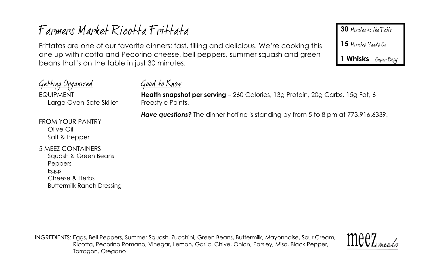# Farmers Market Ricotta Frittata

Frittatas are one of our favorite dinners: fast, filling and delicious. We're cooking this one up with ricotta and Pecorino cheese, bell peppers, summer squash and green beans that's on the table in just 30 minutes.

<u>Getting Organized</u> <u>Good to Know</u> **Health snapshot per serving** – 260 Calories, 13g Protein, 20g Carbs, 15g Fat, 6 **FQUIPMENT** Large Oven-Safe Skillet Freestyle Points. *Have questions?* The dinner hotline is standing by from 5 to 8 pm at 773.916.6339.FROM YOUR PANTRY Olive Oil Salt & Pepper 5 MEEZ CONTAINERS Squash & Green Beans Peppers Eggs Cheese & Herbs Buttermilk Ranch Dressing

INGREDIENTS: Eggs, Bell Peppers, Summer Squash, Zucchini, Green Beans, Buttermilk, Mayonnaise, Sour Cream, Ricotta, Pecorino Romano, Vinegar, Lemon, Garlic, Chive, Onion, Parsley, Miso, Black Pepper, Tarragon, Oregano



**30** Minutes to the Table

**15**

**1 Whisks**